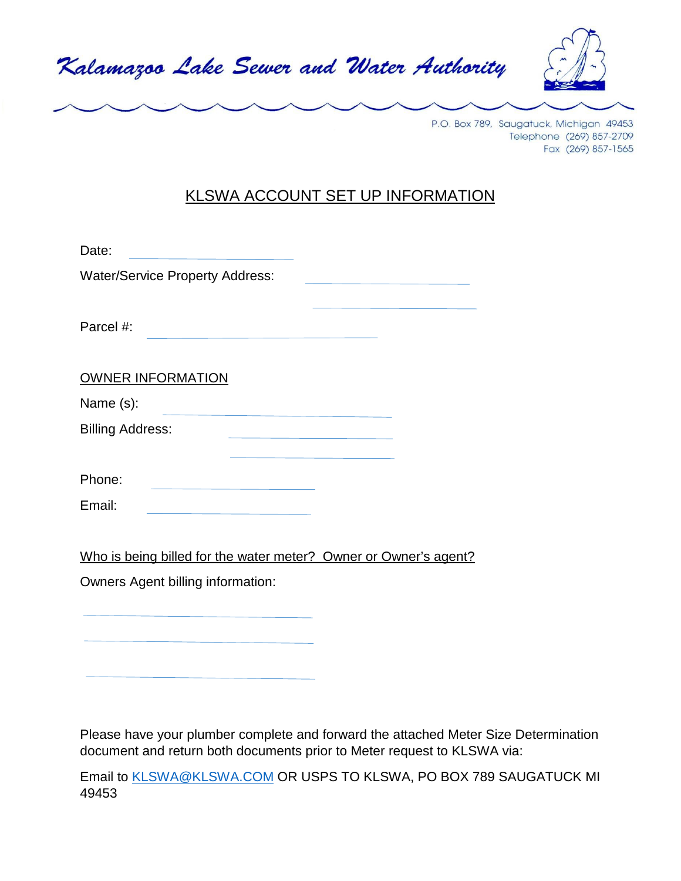



P.O. Box 789, Saugatuck, Michigan 49453 Telephone (269) 857-2709 Fax (269) 857-1565

## KLSWA ACCOUNT SET UP INFORMATION

| Date:                                                     |  |
|-----------------------------------------------------------|--|
| <b>Water/Service Property Address:</b>                    |  |
|                                                           |  |
| Parcel #:                                                 |  |
|                                                           |  |
| <b>OWNER INFORMATION</b>                                  |  |
| Name (s):                                                 |  |
| <b>Billing Address:</b><br>and the company of the company |  |
|                                                           |  |
| Phone:                                                    |  |
| Email:                                                    |  |
|                                                           |  |

Who is being billed for the water meter? Owner or Owner's agent?

Owners Agent billing information:

Please have your plumber complete and forward the attached Meter Size Determination document and return both documents prior to Meter request to KLSWA via:

Email to [KLSWA@KLSWA.COM](mailto:KLSWA@KLSWA.COM) OR USPS TO KLSWA, PO BOX 789 SAUGATUCK MI 49453